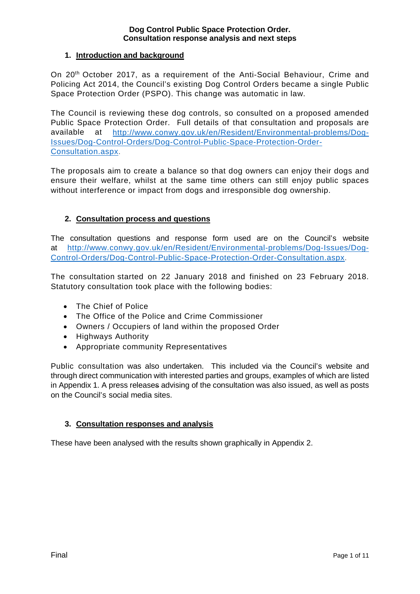## **1. Introduction and background**

On 20th October 2017, as a requirement of the Anti-Social Behaviour, Crime and Policing Act 2014, the Council's existing Dog Control Orders became a single Public Space Protection Order (PSPO). This change was automatic in law.

The Council is reviewing these dog controls, so consulted on a proposed amended Public Space Protection Order. Full details of that consultation and proposals are available at [http://www.conwy.gov.uk/en/Resident/Environmental-problems/Dog-](http://www.conwy.gov.uk/en/Resident/Environmental-problems/Dog-Issues/Dog-Control-Orders/Dog-Control-Public-Space-Protection-Order-Consultation.aspx)[Issues/Dog-Control-Orders/Dog-Control-Public-Space-Protection-Order-](http://www.conwy.gov.uk/en/Resident/Environmental-problems/Dog-Issues/Dog-Control-Orders/Dog-Control-Public-Space-Protection-Order-Consultation.aspx)[Consultation.aspx.](http://www.conwy.gov.uk/en/Resident/Environmental-problems/Dog-Issues/Dog-Control-Orders/Dog-Control-Public-Space-Protection-Order-Consultation.aspx)

The proposals aim to create a balance so that dog owners can enjoy their dogs and ensure their welfare, whilst at the same time others can still enjoy public spaces without interference or impact from dogs and irresponsible dog ownership.

# **2. Consultation process and questions**

The consultation questions and response form used are on the Council's website at [http://www.conwy.gov.uk/en/Resident/Environmental-problems/Dog-Issues/Dog-](http://www.conwy.gov.uk/en/Resident/Environmental-problems/Dog-Issues/Dog-Control-Orders/Dog-Control-Public-Space-Protection-Order-Consultation.aspx)[Control-Orders/Dog-Control-Public-Space-Protection-Order-Consultation.aspx.](http://www.conwy.gov.uk/en/Resident/Environmental-problems/Dog-Issues/Dog-Control-Orders/Dog-Control-Public-Space-Protection-Order-Consultation.aspx)

The consultation started on 22 January 2018 and finished on 23 February 2018. Statutory consultation took place with the following bodies:

- The Chief of Police
- The Office of the Police and Crime Commissioner
- Owners / Occupiers of land within the proposed Order
- Highways Authority
- Appropriate community Representatives

Public consultation was also undertaken. This included via the Council's website and through direct communication with interested parties and groups, examples of which are listed in Appendix 1. A press releases advising of the consultation was also issued, as well as posts on the Council's social media sites.

## **3. Consultation responses and analysis**

These have been analysed with the results shown graphically in Appendix 2.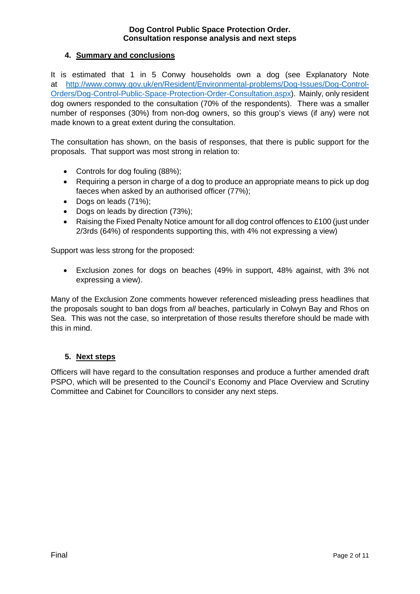## **4. Summary and conclusions**

It is estimated that 1 in 5 Conwy households own a dog (see Explanatory Note at [http://www.conwy.gov.uk/en/Resident/Environmental-problems/Dog-Issues/Dog-Control-](http://www.conwy.gov.uk/en/Resident/Environmental-problems/Dog-Issues/Dog-Control-Orders/Dog-Control-Public-Space-Protection-Order-Consultation.aspx)[Orders/Dog-Control-Public-Space-Protection-Order-Consultation.aspx\)](http://www.conwy.gov.uk/en/Resident/Environmental-problems/Dog-Issues/Dog-Control-Orders/Dog-Control-Public-Space-Protection-Order-Consultation.aspx). Mainly, only resident dog owners responded to the consultation (70% of the respondents). There was a smaller number of responses (30%) from non-dog owners, so this group's views (if any) were not made known to a great extent during the consultation.

The consultation has shown, on the basis of responses, that there is public support for the proposals. That support was most strong in relation to:

- Controls for dog fouling (88%);
- Requiring a person in charge of a dog to produce an appropriate means to pick up dog faeces when asked by an authorised officer (77%);
- Dogs on leads (71%);
- Dogs on leads by direction (73%);
- Raising the Fixed Penalty Notice amount for all dog control offences to £100 (just under 2/3rds (64%) of respondents supporting this, with 4% not expressing a view)

Support was less strong for the proposed:

• Exclusion zones for dogs on beaches (49% in support, 48% against, with 3% not expressing a view).

Many of the Exclusion Zone comments however referenced misleading press headlines that the proposals sought to ban dogs from *all* beaches, particularly in Colwyn Bay and Rhos on Sea. This was not the case, so interpretation of those results therefore should be made with this in mind.

## **5. Next steps**

Officers will have regard to the consultation responses and produce a further amended draft PSPO, which will be presented to the Council's Economy and Place Overview and Scrutiny Committee and Cabinet for Councillors to consider any next steps.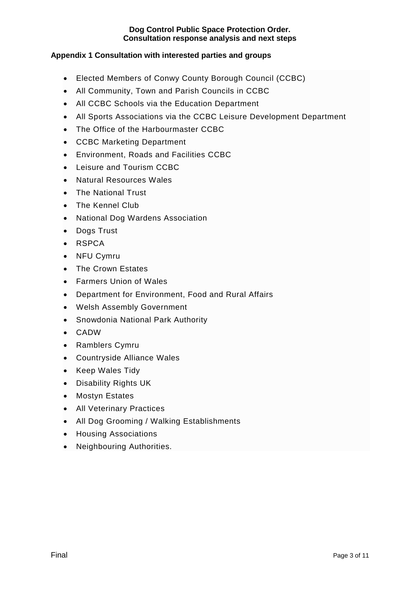# **Appendix 1 Consultation with interested parties and groups**

- Elected Members of Conwy County Borough Council (CCBC)
- All Community, Town and Parish Councils in CCBC
- All CCBC Schools via the Education Department
- All Sports Associations via the CCBC Leisure Development Department
- The Office of the Harbourmaster CCBC
- CCBC Marketing Department
- Environment, Roads and Facilities CCBC
- Leisure and Tourism CCBC
- Natural Resources Wales
- The National Trust
- The Kennel Club
- National Dog Wardens Association
- Dogs Trust
- RSPCA
- NFU Cymru
- The Crown Estates
- Farmers Union of Wales
- Department for Environment, Food and Rural Affairs
- Welsh Assembly Government
- Snowdonia National Park Authority
- CADW
- Ramblers Cymru
- Countryside Alliance Wales
- Keep Wales Tidy
- Disability Rights UK
- Mostyn Estates
- All Veterinary Practices
- All Dog Grooming / Walking Establishments
- Housing Associations
- Neighbouring Authorities.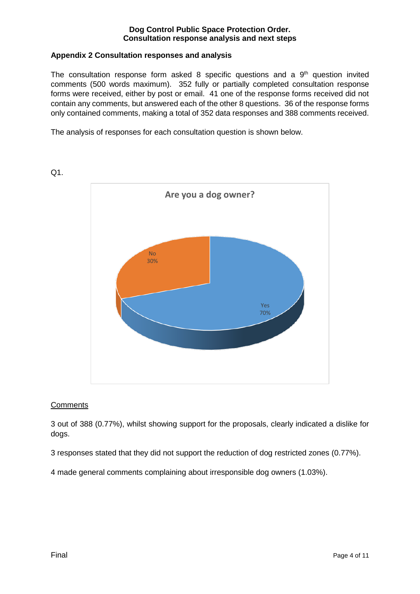## **Appendix 2 Consultation responses and analysis**

The consultation response form asked 8 specific questions and a  $9<sup>th</sup>$  question invited comments (500 words maximum). 352 fully or partially completed consultation response forms were received, either by post or email. 41 one of the response forms received did not contain any comments, but answered each of the other 8 questions. 36 of the response forms only contained comments, making a total of 352 data responses and 388 comments received.

The analysis of responses for each consultation question is shown below.



 $Q1$ .

## **Comments**

3 out of 388 (0.77%), whilst showing support for the proposals, clearly indicated a dislike for dogs.

3 responses stated that they did not support the reduction of dog restricted zones (0.77%).

4 made general comments complaining about irresponsible dog owners (1.03%).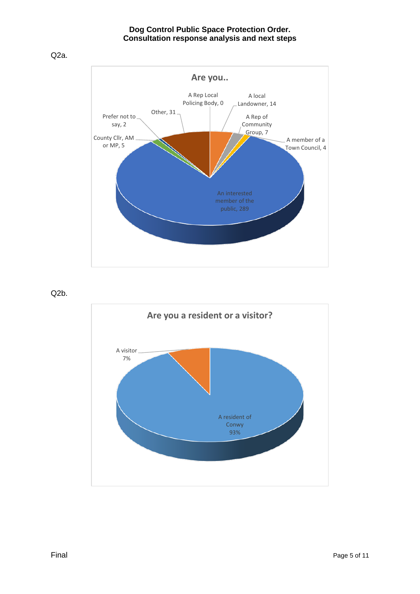Q2a.



Q2b.

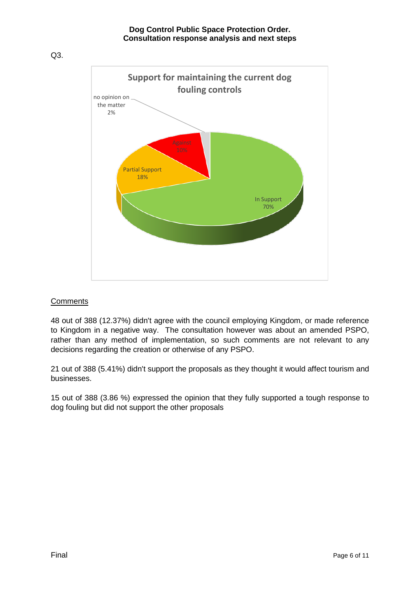Q3.



## **Comments**

48 out of 388 (12.37%) didn't agree with the council employing Kingdom, or made reference to Kingdom in a negative way. The consultation however was about an amended PSPO, rather than any method of implementation, so such comments are not relevant to any decisions regarding the creation or otherwise of any PSPO.

21 out of 388 (5.41%) didn't support the proposals as they thought it would affect tourism and businesses.

15 out of 388 (3.86 %) expressed the opinion that they fully supported a tough response to dog fouling but did not support the other proposals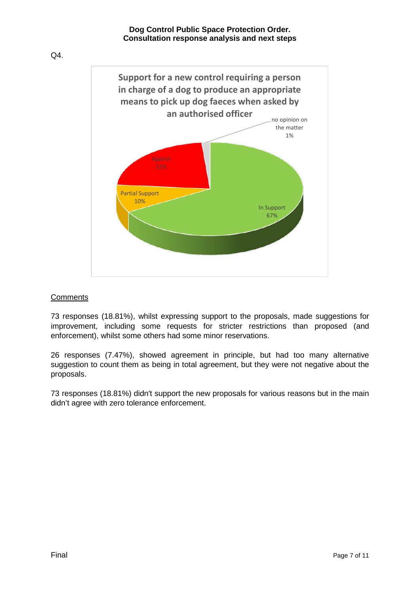Q4.



## **Comments**

73 responses (18.81%), whilst expressing support to the proposals, made suggestions for improvement, including some requests for stricter restrictions than proposed (and enforcement), whilst some others had some minor reservations.

26 responses (7.47%), showed agreement in principle, but had too many alternative suggestion to count them as being in total agreement, but they were not negative about the proposals.

73 responses (18.81%) didn't support the new proposals for various reasons but in the main didn't agree with zero tolerance enforcement.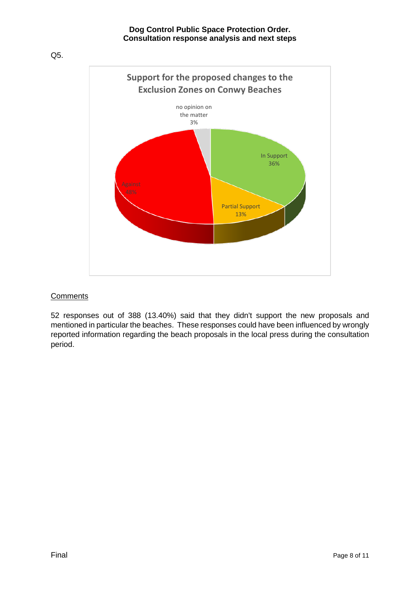

#### **Comments**

52 responses out of 388 (13.40%) said that they didn't support the new proposals and mentioned in particular the beaches. These responses could have been influenced by wrongly reported information regarding the beach proposals in the local press during the consultation period.

Q5.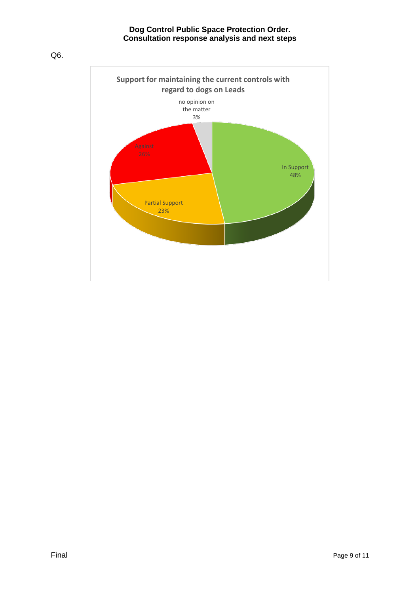Q6.

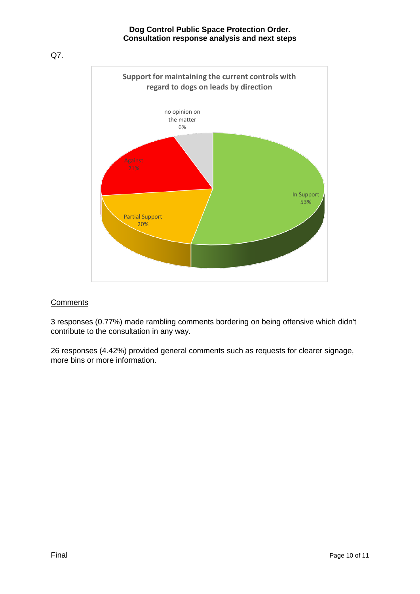Q7.



# **Comments**

3 responses (0.77%) made rambling comments bordering on being offensive which didn't contribute to the consultation in any way.

26 responses (4.42%) provided general comments such as requests for clearer signage, more bins or more information.